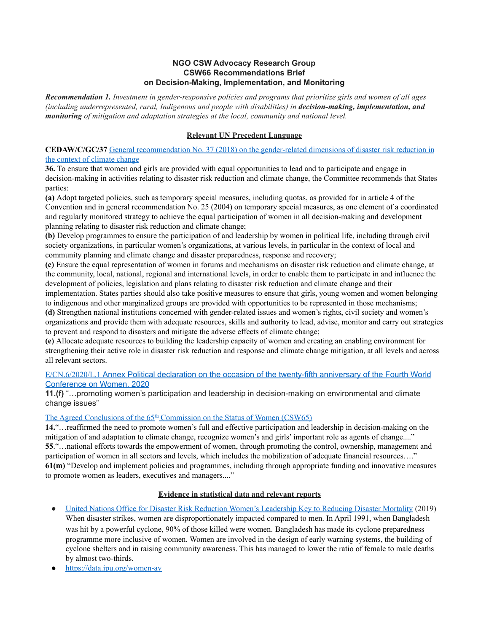#### **NGO CSW Advocacy Research Group CSW66 Recommendations Brief on Decision-Making, Implementation, and Monitoring**

Recommendation 1. Investment in gender-responsive policies and programs that prioritize girls and women of all ages *(including underrepresented, rural, Indigenous and people with disabilities) in decision-making, implementation, and monitoring of mitigation and adaptation strategies at the local, community and national level.*

## **Relevant UN Precedent Language**

**CEDAW/C/GC/37** General [recommendation](https://tbinternet.ohchr.org/_layouts/15/treatybodyexternal/Download.aspx?symbolno=CEDAW/C/GC/37&Lang=en) No. 37 (2018) on the gender-related dimensions of disaster risk reduction in the [context](https://tbinternet.ohchr.org/_layouts/15/treatybodyexternal/Download.aspx?symbolno=CEDAW/C/GC/37&Lang=en) of climate change

**36.** To ensure that women and girls are provided with equal opportunities to lead and to participate and engage in decision-making in activities relating to disaster risk reduction and climate change, the Committee recommends that States parties:

**(a)** Adopt targeted policies, such as temporary special measures, including quotas, as provided for in article 4 of the Convention and in general recommendation No. 25 (2004) on temporary special measures, as one element of a coordinated and regularly monitored strategy to achieve the equal participation of women in all decision-making and development planning relating to disaster risk reduction and climate change;

**(b)** Develop programmes to ensure the participation of and leadership by women in political life, including through civil society organizations, in particular women's organizations, at various levels, in particular in the context of local and community planning and climate change and disaster preparedness, response and recovery;

**(c)** Ensure the equal representation of women in forums and mechanisms on disaster risk reduction and climate change, at the community, local, national, regional and international levels, in order to enable them to participate in and influence the development of policies, legislation and plans relating to disaster risk reduction and climate change and their

implementation. States parties should also take positive measures to ensure that girls, young women and women belonging to indigenous and other marginalized groups are provided with opportunities to be represented in those mechanisms;

**(d)** Strengthen national institutions concerned with gender-related issues and women's rights, civil society and women's organizations and provide them with adequate resources, skills and authority to lead, advise, monitor and carry out strategies to prevent and respond to disasters and mitigate the adverse effects of climate change;

**(e)** Allocate adequate resources to building the leadership capacity of women and creating an enabling environment for strengthening their active role in disaster risk reduction and response and climate change mitigation, at all levels and across all relevant sectors.

# [E/CN.6/2020/L.1](https://undocs.org/pdf?symbol=en/E/CN.6/2020/L.1) Annex Political declaration on the occasion of the twenty-fifth anniversary of the Fourth World [Conference](https://undocs.org/pdf?symbol=en/E/CN.6/2020/L.1) on Women, 2020

**11.(f)** "…promoting women's participation and leadership in decision-making on environmental and climate change issues"

# The Agreed Conclusions of the 65<sup>th</sup> [Commission](https://documents-dds-ny.un.org/doc/UNDOC/GEN/N21/079/07/PDF/N2107907.pdf?OpenElement) on the Status of Women (CSW65)

**14.**"…reaffirmed the need to promote women's full and effective participation and leadership in decision-making on the mitigation of and adaptation to climate change, recognize women's and girls' important role as agents of change...." **55**."…national efforts towards the empowerment of women, through promoting the control, ownership, management and participation of women in all sectors and levels, which includes the mobilization of adequate financial resources…." **61(m)** "Develop and implement policies and programmes, including through appropriate funding and innovative measures to promote women as leaders, executives and managers...."

# **Evidence in statistical data and relevant reports**

- **United Nations Office for Disaster Risk Reduction Women's [Leadership](https://www.preventionweb.net/news/womens-leadership-key-reducing-disaster-mortality) Key to Reducing Disaster Mortality (2019)** When disaster strikes, women are disproportionately impacted compared to men. In April 1991, when Bangladesh was hit by a powerful cyclone, 90% of those killed were women. Bangladesh has made its cyclone preparedness programme more inclusive of women. Women are involved in the design of early warning systems, the building of cyclone shelters and in raising community awareness. This has managed to lower the ratio of female to male deaths by almost two-thirds.
- [https://data.ipu.org/women-av](https://data.ipu.org/women-averages)